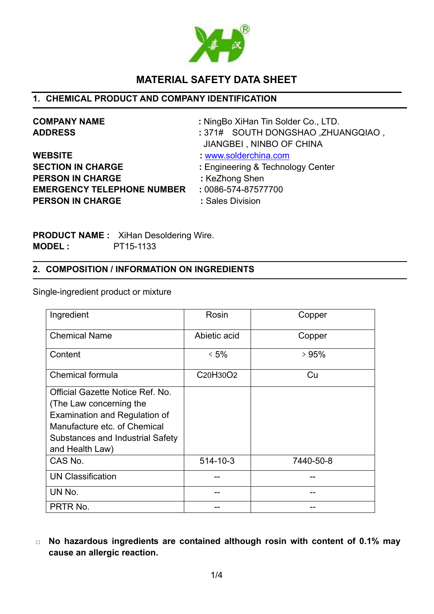

# **MATERIAL SAFETY DATA SHEET**

## **1. CHEMICAL PRODUCT AND COMPANY IDENTIFICATION**

| <b>COMPANY NAME</b>               | : NingBo XiHan Tin Solder Co., LTD. |  |
|-----------------------------------|-------------------------------------|--|
| <b>ADDRESS</b>                    | : 371# SOUTH DONGSHAO, ZHUANGQIAO,  |  |
|                                   | JIANGBEI, NINBO OF CHINA            |  |
| <b>WEBSITE</b>                    | www.solderchina.com                 |  |
| <b>SECTION IN CHARGE</b>          | : Engineering & Technology Center   |  |
| <b>PERSON IN CHARGE</b>           | : KeZhong Shen                      |  |
| <b>EMERGENCY TELEPHONE NUMBER</b> | : 0086-574-87577700                 |  |
| <b>PERSON IN CHARGE</b>           | : Sales Division                    |  |

**PRODUCT NAME :** XiHan Desoldering Wire. **MODEL :** PT15-1133

## **2. COMPOSITION / INFORMATION ON INGREDIENTS**

Single-ingredient product or mixture

| Ingredient                                                                                                                                                                          | Rosin                                          | Copper    |
|-------------------------------------------------------------------------------------------------------------------------------------------------------------------------------------|------------------------------------------------|-----------|
| <b>Chemical Name</b>                                                                                                                                                                | Abietic acid                                   | Copper    |
| Content                                                                                                                                                                             | $<$ 5%                                         | >95%      |
| Chemical formula                                                                                                                                                                    | C <sub>20</sub> H <sub>30</sub> O <sub>2</sub> | Cu        |
| Official Gazette Notice Ref. No.<br>(The Law concerning the<br>Examination and Regulation of<br>Manufacture etc. of Chemical<br>Substances and Industrial Safety<br>and Health Law) |                                                |           |
| CAS No.                                                                                                                                                                             | $514 - 10 - 3$                                 | 7440-50-8 |
| <b>UN Classification</b>                                                                                                                                                            |                                                |           |
| UN No.                                                                                                                                                                              |                                                |           |
| PRTR No.                                                                                                                                                                            |                                                | --        |

□ **No hazardous ingredients are contained although rosin with content of 0.1% may cause an allergic reaction.**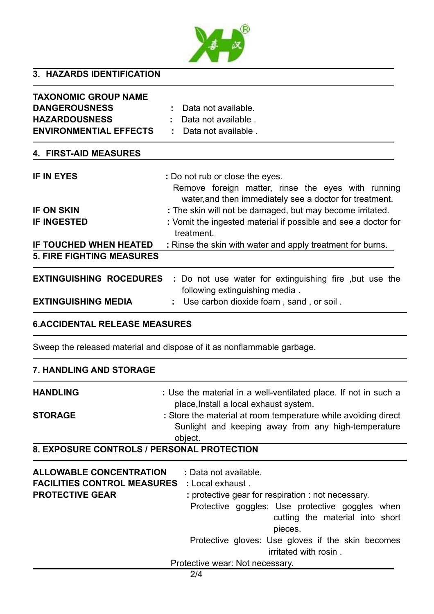

## **3. HAZARDS IDENTIFICATION**

| <b>TAXONOMIC GROUP NAME</b>      |                                                                                                               |
|----------------------------------|---------------------------------------------------------------------------------------------------------------|
| <b>DANGEROUSNESS</b>             | Data not available.                                                                                           |
| <b>HAZARDOUSNESS</b>             | Data not available.                                                                                           |
| <b>ENVIRONMENTIAL EFFECTS</b>    | Data not available.                                                                                           |
| <b>4. FIRST-AID MEASURES</b>     |                                                                                                               |
| <b>IF IN EYES</b>                | : Do not rub or close the eyes.                                                                               |
|                                  | Remove foreign matter, rinse the eyes with running<br>water, and then immediately see a doctor for treatment. |
| <b>IF ON SKIN</b>                | : The skin will not be damaged, but may become irritated.                                                     |
| <b>IF INGESTED</b>               | : Vomit the ingested material if possible and see a doctor for<br>treatment.                                  |
| IF TOUCHED WHEN HEATED           | : Rinse the skin with water and apply treatment for burns.                                                    |
| <b>5. FIRE FIGHTING MEASURES</b> |                                                                                                               |
| <b>EXTINGUISHING ROCEDURES</b>   | . Do not use water for extinguishing fire, but use the<br>following extinguishing media.                      |
| <b>EXTINGUISHING MEDIA</b>       | Use carbon dioxide foam, sand, or soil.                                                                       |

## **6.ACCIDENTAL RELEASE MEASURES**

Sweep the released material and dispose of it as nonflammable garbage.

| <b>7. HANDLING AND STORAGE</b>                           |                                                                                                                                                                                                                                                                                                                                                      |  |
|----------------------------------------------------------|------------------------------------------------------------------------------------------------------------------------------------------------------------------------------------------------------------------------------------------------------------------------------------------------------------------------------------------------------|--|
| <b>HANDLING</b>                                          | : Use the material in a well-ventilated place. If not in such a<br>place, Install a local exhaust system.                                                                                                                                                                                                                                            |  |
| <b>STORAGE</b>                                           | : Store the material at room temperature while avoiding direct<br>Sunlight and keeping away from any high-temperature<br>object.                                                                                                                                                                                                                     |  |
|                                                          | 8. EXPOSURE CONTROLS / PERSONAL PROTECTION                                                                                                                                                                                                                                                                                                           |  |
| <b>ALLOWABLE CONCENTRATION</b><br><b>PROTECTIVE GEAR</b> | : Data not available.<br><b>FACILITIES CONTROL MEASURES</b> : Local exhaust.<br>: protective gear for respiration : not necessary.<br>Protective goggles: Use protective goggles when<br>cutting the material into short<br>pieces.<br>Protective gloves: Use gloves if the skin becomes<br>irritated with rosin.<br>Protective wear: Not necessary. |  |
|                                                          | 2/4                                                                                                                                                                                                                                                                                                                                                  |  |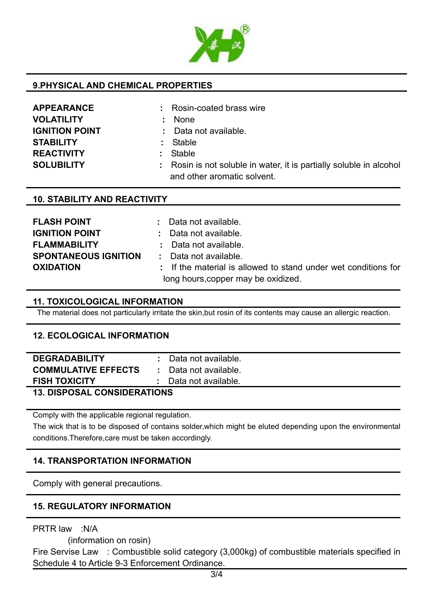

## **9.PHYSICAL AND CHEMICAL PROPERTIES**

| <b>APPEARANCE</b>     |
|-----------------------|
| <b>VOLATILITY</b>     |
| <b>IGNITION POINT</b> |
| STABILITY             |
| <b>REACTIVITY</b>     |
| <b>SOLUBILITY</b>     |

**APPEARANCE :** Rosin-coated brass wire

- **VOLATILITY :** None
- **IGNITION Point available.**
- **STABILITY :** Stable
- **REACTIVITY :** Stable
- : Rosin is not soluble in water, it is partially soluble in alcohol and other aromatic solvent.

#### **10. STABILITY AND REACTIVITY**

| <b>FLASH POINT</b>          | : Data not available.                                          |
|-----------------------------|----------------------------------------------------------------|
| <b>IGNITION POINT</b>       | : Data not available.                                          |
| <b>FLAMMABILITY</b>         | : Data not available.                                          |
| <b>SPONTANEOUS IGNITION</b> | : Data not available.                                          |
| <b>OXIDATION</b>            | : If the material is allowed to stand under wet conditions for |
|                             | long hours, copper may be oxidized.                            |

#### **11. TOXICOLOGICAL INFORMATION**

The material does not particularly irritate the skin,but rosin of its contents may cause an allergic reaction.

### **12. ECOLOGICAL INFORMATION**

| <b>DEGRADABILITY</b>        |  | Data not available.   |
|-----------------------------|--|-----------------------|
| <b>COMMULATIVE EFFECTS</b>  |  | : Data not available. |
| <b>FISH TOXICITY</b>        |  | : Data not available. |
| 18 BIABAA 11 AANAIBEB1TIANA |  |                       |

#### **13. DISPOSAL CONSIDERATIONS**

Comply with the applicable regional regulation.

The wick that is to be disposed of contains solder,which might be eluted depending upon the environmental conditions.Therefore,care must be taken accordingly.

## **14. TRANSPORTATION INFORMATION**

Comply with general precautions.

## **15. REGULATORY INFORMATION**

PRTR law :N/A

(information on rosin)

Fire Servise Law : Combustible solid category (3,000kg) of combustible materials specified in Schedule 4 to Article 9-3 Enforcement Ordinance.